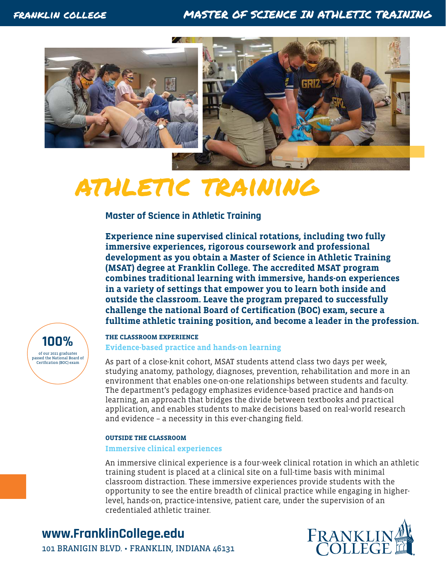### franklin college MASTER OF SCIENCE IN ATHLETIC TRAINING





# athletic training

**Master of Science in Athletic Training**

**Experience nine supervised clinical rotations, including two fully immersive experiences, rigorous coursework and professional development as you obtain a Master of Science in Athletic Training (MSAT) degree at Franklin College. The accredited MSAT program combines traditional learning with immersive, hands-on experiences in a variety of settings that empower you to learn both inside and outside the classroom. Leave the program prepared to successfully challenge the national Board of Certification (BOC) exam, secure a fulltime athletic training position, and become a leader in the profession.**

of our 2021 graduates passed the National Board of Certfication (BOC) exam **100%**

### **THE CLASSROOM EXPERIENCE Evidence-based practice and hands-on learning**

As part of a close-knit cohort, MSAT students attend class two days per week, studying anatomy, pathology, diagnoses, prevention, rehabilitation and more in an environment that enables one-on-one relationships between students and faculty. The department's pedagogy emphasizes evidence-based practice and hands-on learning, an approach that bridges the divide between textbooks and practical application, and enables students to make decisions based on real-world research and evidence – a necessity in this ever-changing field.

#### **OUTSIDE THE CLASSROOM**

#### **Immersive clinical experiences**

An immersive clinical experience is a four-week clinical rotation in which an athletic training student is placed at a clinical site on a full-time basis with minimal classroom distraction. These immersive experiences provide students with the opportunity to see the entire breadth of clinical practice while engaging in higherlevel, hands-on, practice-intensive, patient care, under the supervision of an credentialed athletic trainer.

### **www.FranklinCollege.edu**



101 BRANIGIN BLVD. • FRANKLIN, INDIANA 46131